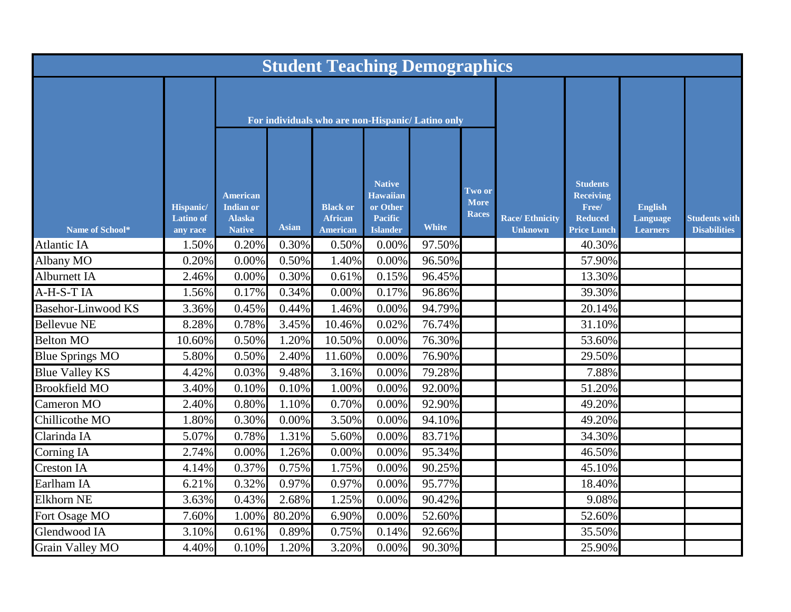| <b>Student Teaching Demographics</b> |                                                  |                                                                       |              |                                                      |                                                                                   |              |                                |                                         |                                                                                      |                                               |                                             |
|--------------------------------------|--------------------------------------------------|-----------------------------------------------------------------------|--------------|------------------------------------------------------|-----------------------------------------------------------------------------------|--------------|--------------------------------|-----------------------------------------|--------------------------------------------------------------------------------------|-----------------------------------------------|---------------------------------------------|
|                                      |                                                  |                                                                       |              | For individuals who are non-Hispanic/ Latino only    |                                                                                   |              |                                |                                         |                                                                                      |                                               |                                             |
| Name of School*                      | <b>Hispanic/</b><br><b>Latino</b> of<br>any race | <b>American</b><br><b>Indian or</b><br><b>Alaska</b><br><b>Native</b> | <b>Asian</b> | <b>Black or</b><br><b>African</b><br><b>American</b> | <b>Native</b><br><b>Hawaiian</b><br>or Other<br><b>Pacific</b><br><b>Islander</b> | <b>White</b> | Two or<br>More<br><b>Races</b> | <b>Race/Ethnicity</b><br><b>Unknown</b> | <b>Students</b><br><b>Receiving</b><br>Free/<br><b>Reduced</b><br><b>Price Lunch</b> | <b>English</b><br>Language<br><b>Learners</b> | <b>Students with</b><br><b>Disabilities</b> |
| <b>Atlantic IA</b>                   | 1.50%                                            | 0.20%                                                                 | 0.30%        | 0.50%                                                | 0.00%                                                                             | 97.50%       |                                |                                         | 40.30%                                                                               |                                               |                                             |
| Albany MO                            | 0.20%                                            | $0.00\%$                                                              | 0.50%        | 1.40%                                                | 0.00%                                                                             | 96.50%       |                                |                                         | 57.90%                                                                               |                                               |                                             |
| Alburnett IA                         | 2.46%                                            | 0.00%                                                                 | 0.30%        | 0.61%                                                | 0.15%                                                                             | 96.45%       |                                |                                         | 13.30%                                                                               |                                               |                                             |
| A-H-S-TIA                            | 1.56%                                            | 0.17%                                                                 | 0.34%        | 0.00%                                                | 0.17%                                                                             | 96.86%       |                                |                                         | 39.30%                                                                               |                                               |                                             |
| <b>Basehor-Linwood KS</b>            | 3.36%                                            | 0.45%                                                                 | 0.44%        | 1.46%                                                | 0.00%                                                                             | 94.79%       |                                |                                         | 20.14%                                                                               |                                               |                                             |
| <b>Bellevue NE</b>                   | 8.28%                                            | 0.78%                                                                 | 3.45%        | 10.46%                                               | 0.02%                                                                             | 76.74%       |                                |                                         | 31.10%                                                                               |                                               |                                             |
| <b>Belton MO</b>                     | 10.60%                                           | 0.50%                                                                 | 1.20%        | 10.50%                                               | 0.00%                                                                             | 76.30%       |                                |                                         | 53.60%                                                                               |                                               |                                             |
| <b>Blue Springs MO</b>               | 5.80%                                            | 0.50%                                                                 | 2.40%        | 11.60%                                               | 0.00%                                                                             | 76.90%       |                                |                                         | 29.50%                                                                               |                                               |                                             |
| <b>Blue Valley KS</b>                | 4.42%                                            | 0.03%                                                                 | 9.48%        | 3.16%                                                | 0.00%                                                                             | 79.28%       |                                |                                         | 7.88%                                                                                |                                               |                                             |
| <b>Brookfield MO</b>                 | 3.40%                                            | 0.10%                                                                 | 0.10%        | 1.00%                                                | 0.00%                                                                             | 92.00%       |                                |                                         | 51.20%                                                                               |                                               |                                             |
| Cameron MO                           | 2.40%                                            | 0.80%                                                                 | 1.10%        | 0.70%                                                | 0.00%                                                                             | 92.90%       |                                |                                         | 49.20%                                                                               |                                               |                                             |
| Chillicothe MO                       | 1.80%                                            | 0.30%                                                                 | $0.00\%$     | 3.50%                                                | 0.00%                                                                             | 94.10%       |                                |                                         | 49.20%                                                                               |                                               |                                             |
| Clarinda IA                          | 5.07%                                            | 0.78%                                                                 | 1.31%        | 5.60%                                                | 0.00%                                                                             | 83.71%       |                                |                                         | 34.30%                                                                               |                                               |                                             |
| Corning IA                           | 2.74%                                            | 0.00%                                                                 | 1.26%        | 0.00%                                                | 0.00%                                                                             | 95.34%       |                                |                                         | 46.50%                                                                               |                                               |                                             |
| <b>Creston IA</b>                    | 4.14%                                            | 0.37%                                                                 | 0.75%        | 1.75%                                                | 0.00%                                                                             | 90.25%       |                                |                                         | 45.10%                                                                               |                                               |                                             |
| Earlham IA                           | 6.21%                                            | 0.32%                                                                 | 0.97%        | 0.97%                                                | 0.00%                                                                             | 95.77%       |                                |                                         | 18.40%                                                                               |                                               |                                             |
| <b>Elkhorn NE</b>                    | 3.63%                                            | 0.43%                                                                 | 2.68%        | 1.25%                                                | 0.00%                                                                             | 90.42%       |                                |                                         | 9.08%                                                                                |                                               |                                             |
| Fort Osage MO                        | 7.60%                                            | 1.00%                                                                 | 80.20%       | 6.90%                                                | 0.00%                                                                             | 52.60%       |                                |                                         | 52.60%                                                                               |                                               |                                             |
| Glendwood IA                         | 3.10%                                            | 0.61%                                                                 | 0.89%        | 0.75%                                                | 0.14%                                                                             | 92.66%       |                                |                                         | 35.50%                                                                               |                                               |                                             |
| Grain Valley MO                      | 4.40%                                            | 0.10%                                                                 | 1.20%        | 3.20%                                                | 0.00%                                                                             | 90.30%       |                                |                                         | 25.90%                                                                               |                                               |                                             |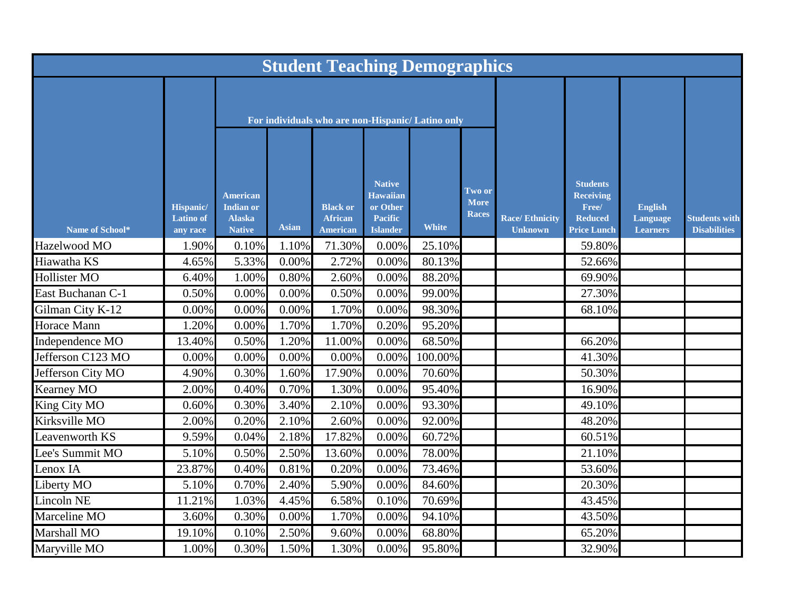| <b>Student Teaching Demographics</b> |                                           |                                                                       |              |                                                      |                                                                                   |              |                                       |                                         |                                                                                      |                                               |                                             |
|--------------------------------------|-------------------------------------------|-----------------------------------------------------------------------|--------------|------------------------------------------------------|-----------------------------------------------------------------------------------|--------------|---------------------------------------|-----------------------------------------|--------------------------------------------------------------------------------------|-----------------------------------------------|---------------------------------------------|
|                                      |                                           | For individuals who are non-Hispanic/ Latino only                     |              |                                                      |                                                                                   |              |                                       |                                         |                                                                                      |                                               |                                             |
| Name of School*                      | Hispanic/<br><b>Latino</b> of<br>any race | <b>American</b><br><b>Indian or</b><br><b>Alaska</b><br><b>Native</b> | <b>Asian</b> | <b>Black or</b><br><b>African</b><br><b>American</b> | <b>Native</b><br><b>Hawaiian</b><br>or Other<br><b>Pacific</b><br><b>Islander</b> | <b>White</b> | Two or<br><b>More</b><br><b>Races</b> | <b>Race/Ethnicity</b><br><b>Unknown</b> | <b>Students</b><br><b>Receiving</b><br>Free/<br><b>Reduced</b><br><b>Price Lunch</b> | <b>English</b><br>Language<br><b>Learners</b> | <b>Students with</b><br><b>Disabilities</b> |
| Hazelwood MO                         | 1.90%                                     | 0.10%                                                                 | 1.10%        | 71.30%                                               | 0.00%                                                                             | 25.10%       |                                       |                                         | 59.80%                                                                               |                                               |                                             |
| Hiawatha KS                          | 4.65%                                     | 5.33%                                                                 | 0.00%        | 2.72%                                                | 0.00%                                                                             | 80.13%       |                                       |                                         | 52.66%                                                                               |                                               |                                             |
| <b>Hollister MO</b>                  | 6.40%                                     | 1.00%                                                                 | 0.80%        | 2.60%                                                | 0.00%                                                                             | 88.20%       |                                       |                                         | 69.90%                                                                               |                                               |                                             |
| East Buchanan C-1                    | 0.50%                                     | 0.00%                                                                 | 0.00%        | 0.50%                                                | 0.00%                                                                             | 99.00%       |                                       |                                         | 27.30%                                                                               |                                               |                                             |
| Gilman City K-12                     | 0.00%                                     | 0.00%                                                                 | 0.00%        | 1.70%                                                | 0.00%                                                                             | 98.30%       |                                       |                                         | 68.10%                                                                               |                                               |                                             |
| <b>Horace Mann</b>                   | 1.20%                                     | 0.00%                                                                 | 1.70%        | 1.70%                                                | 0.20%                                                                             | 95.20%       |                                       |                                         |                                                                                      |                                               |                                             |
| Independence MO                      | 13.40%                                    | 0.50%                                                                 | 1.20%        | 11.00%                                               | 0.00%                                                                             | 68.50%       |                                       |                                         | 66.20%                                                                               |                                               |                                             |
| Jefferson C123 MO                    | 0.00%                                     | 0.00%                                                                 | 0.00%        | 0.00%                                                | 0.00%                                                                             | 100.00%      |                                       |                                         | 41.30%                                                                               |                                               |                                             |
| Jefferson City MO                    | 4.90%                                     | 0.30%                                                                 | 1.60%        | 17.90%                                               | 0.00%                                                                             | 70.60%       |                                       |                                         | 50.30%                                                                               |                                               |                                             |
| Kearney MO                           | 2.00%                                     | 0.40%                                                                 | 0.70%        | 1.30%                                                | 0.00%                                                                             | 95.40%       |                                       |                                         | 16.90%                                                                               |                                               |                                             |
| King City MO                         | 0.60%                                     | 0.30%                                                                 | 3.40%        | 2.10%                                                | 0.00%                                                                             | 93.30%       |                                       |                                         | 49.10%                                                                               |                                               |                                             |
| Kirksville MO                        | 2.00%                                     | 0.20%                                                                 | 2.10%        | 2.60%                                                | 0.00%                                                                             | 92.00%       |                                       |                                         | 48.20%                                                                               |                                               |                                             |
| Leavenworth KS                       | 9.59%                                     | 0.04%                                                                 | 2.18%        | 17.82%                                               | 0.00%                                                                             | 60.72%       |                                       |                                         | 60.51%                                                                               |                                               |                                             |
| Lee's Summit MO                      | 5.10%                                     | 0.50%                                                                 | 2.50%        | 13.60%                                               | 0.00%                                                                             | 78.00%       |                                       |                                         | 21.10%                                                                               |                                               |                                             |
| Lenox IA                             | 23.87%                                    | 0.40%                                                                 | 0.81%        | 0.20%                                                | 0.00%                                                                             | 73.46%       |                                       |                                         | 53.60%                                                                               |                                               |                                             |
| Liberty MO                           | 5.10%                                     | 0.70%                                                                 | 2.40%        | 5.90%                                                | 0.00%                                                                             | 84.60%       |                                       |                                         | 20.30%                                                                               |                                               |                                             |
| Lincoln NE                           | 11.21%                                    | 1.03%                                                                 | 4.45%        | 6.58%                                                | 0.10%                                                                             | 70.69%       |                                       |                                         | 43.45%                                                                               |                                               |                                             |
| Marceline MO                         | 3.60%                                     | 0.30%                                                                 | 0.00%        | 1.70%                                                | 0.00%                                                                             | 94.10%       |                                       |                                         | 43.50%                                                                               |                                               |                                             |
| Marshall MO                          | 19.10%                                    | 0.10%                                                                 | 2.50%        | 9.60%                                                | 0.00%                                                                             | 68.80%       |                                       |                                         | 65.20%                                                                               |                                               |                                             |
| Maryville MO                         | 1.00%                                     | 0.30%                                                                 | 1.50%        | 1.30%                                                | 0.00%                                                                             | 95.80%       |                                       |                                         | 32.90%                                                                               |                                               |                                             |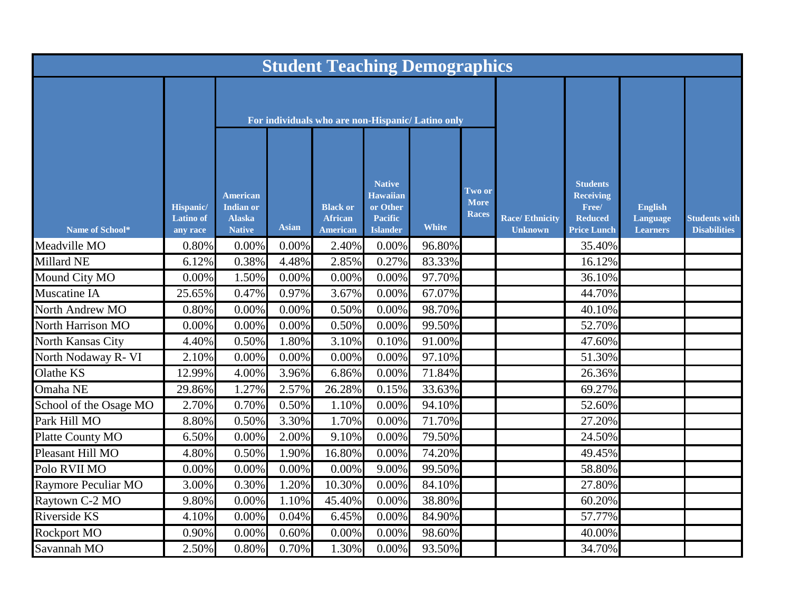| <b>Student Teaching Demographics</b> |                                                  |                                                                |              |                                                      |                                                                                   |              |                                       |                                         |                                                                                      |                                               |                                             |
|--------------------------------------|--------------------------------------------------|----------------------------------------------------------------|--------------|------------------------------------------------------|-----------------------------------------------------------------------------------|--------------|---------------------------------------|-----------------------------------------|--------------------------------------------------------------------------------------|-----------------------------------------------|---------------------------------------------|
|                                      |                                                  | For individuals who are non-Hispanic/ Latino only              |              |                                                      |                                                                                   |              |                                       |                                         |                                                                                      |                                               |                                             |
| Name of School*                      | <b>Hispanic/</b><br><b>Latino</b> of<br>any race | American<br><b>Indian or</b><br><b>Alaska</b><br><b>Native</b> | <b>Asian</b> | <b>Black or</b><br><b>African</b><br><b>American</b> | <b>Native</b><br><b>Hawaiian</b><br>or Other<br><b>Pacific</b><br><b>Islander</b> | <b>White</b> | Two or<br><b>More</b><br><b>Races</b> | <b>Race/Ethnicity</b><br><b>Unknown</b> | <b>Students</b><br><b>Receiving</b><br>Free/<br><b>Reduced</b><br><b>Price Lunch</b> | <b>English</b><br>Language<br><b>Learners</b> | <b>Students with</b><br><b>Disabilities</b> |
| Meadville MO                         | 0.80%                                            | $0.00\%$                                                       | 0.00%        | 2.40%                                                | 0.00%                                                                             | 96.80%       |                                       |                                         | 35.40%                                                                               |                                               |                                             |
| Millard NE                           | 6.12%                                            | 0.38%                                                          | 4.48%        | 2.85%                                                | 0.27%                                                                             | 83.33%       |                                       |                                         | 16.12%                                                                               |                                               |                                             |
| Mound City MO                        | 0.00%                                            | 1.50%                                                          | 0.00%        | $0.00\%$                                             | 0.00%                                                                             | 97.70%       |                                       |                                         | 36.10%                                                                               |                                               |                                             |
| <b>Muscatine IA</b>                  | 25.65%                                           | 0.47%                                                          | 0.97%        | 3.67%                                                | 0.00%                                                                             | 67.07%       |                                       |                                         | 44.70%                                                                               |                                               |                                             |
| North Andrew MO                      | 0.80%                                            | 0.00%                                                          | 0.00%        | 0.50%                                                | 0.00%                                                                             | 98.70%       |                                       |                                         | 40.10%                                                                               |                                               |                                             |
| <b>North Harrison MO</b>             | 0.00%                                            | 0.00%                                                          | 0.00%        | 0.50%                                                | 0.00%                                                                             | 99.50%       |                                       |                                         | 52.70%                                                                               |                                               |                                             |
| North Kansas City                    | 4.40%                                            | 0.50%                                                          | 1.80%        | 3.10%                                                | 0.10%                                                                             | 91.00%       |                                       |                                         | 47.60%                                                                               |                                               |                                             |
| North Nodaway R- VI                  | 2.10%                                            | 0.00%                                                          | 0.00%        | $0.00\%$                                             | 0.00%                                                                             | 97.10%       |                                       |                                         | 51.30%                                                                               |                                               |                                             |
| Olathe KS                            | 12.99%                                           | 4.00%                                                          | 3.96%        | 6.86%                                                | 0.00%                                                                             | 71.84%       |                                       |                                         | 26.36%                                                                               |                                               |                                             |
| Omaha NE                             | 29.86%                                           | $1.27\%$                                                       | 2.57%        | 26.28%                                               | 0.15%                                                                             | 33.63%       |                                       |                                         | 69.27%                                                                               |                                               |                                             |
| School of the Osage MO               | 2.70%                                            | 0.70%                                                          | 0.50%        | 1.10%                                                | $0.00\%$                                                                          | 94.10%       |                                       |                                         | 52.60%                                                                               |                                               |                                             |
| Park Hill MO                         | 8.80%                                            | 0.50%                                                          | 3.30%        | 1.70%                                                | 0.00%                                                                             | 71.70%       |                                       |                                         | 27.20%                                                                               |                                               |                                             |
| Platte County MO                     | 6.50%                                            | $0.00\%$                                                       | 2.00%        | 9.10%                                                | $0.00\%$                                                                          | 79.50%       |                                       |                                         | 24.50%                                                                               |                                               |                                             |
| Pleasant Hill MO                     | 4.80%                                            | 0.50%                                                          | 1.90%        | 16.80%                                               | 0.00%                                                                             | 74.20%       |                                       |                                         | 49.45%                                                                               |                                               |                                             |
| Polo RVII MO                         | 0.00%                                            | $0.00\%$                                                       | 0.00%        | $0.00\%$                                             | 9.00%                                                                             | 99.50%       |                                       |                                         | 58.80%                                                                               |                                               |                                             |
| Raymore Peculiar MO                  | 3.00%                                            | 0.30%                                                          | 1.20%        | 10.30%                                               | 0.00%                                                                             | 84.10%       |                                       |                                         | 27.80%                                                                               |                                               |                                             |
| Raytown C-2 MO                       | 9.80%                                            | 0.00%                                                          | 1.10%        | 45.40%                                               | 0.00%                                                                             | 38.80%       |                                       |                                         | 60.20%                                                                               |                                               |                                             |
| Riverside KS                         | 4.10%                                            | $0.00\%$                                                       | 0.04%        | 6.45%                                                | 0.00%                                                                             | 84.90%       |                                       |                                         | 57.77%                                                                               |                                               |                                             |
| <b>Rockport MO</b>                   | 0.90%                                            | 0.00%                                                          | 0.60%        | 0.00%                                                | 0.00%                                                                             | 98.60%       |                                       |                                         | 40.00%                                                                               |                                               |                                             |
| Savannah MO                          | 2.50%                                            | 0.80%                                                          | 0.70%        | 1.30%                                                | 0.00%                                                                             | 93.50%       |                                       |                                         | 34.70%                                                                               |                                               |                                             |